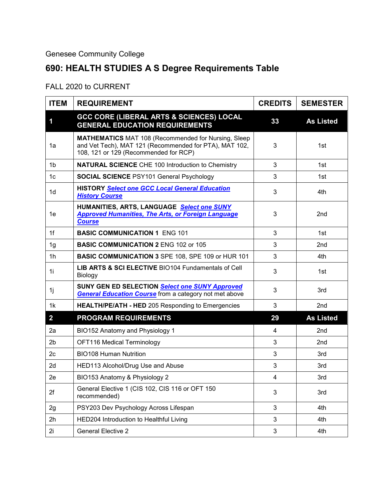## Genesee Community College

## **690: HEALTH STUDIES A S Degree Requirements Table**

## FALL 2020 to CURRENT

| <b>ITEM</b>    | <b>REQUIREMENT</b>                                                                                                                                            | <b>CREDITS</b> | <b>SEMESTER</b>  |
|----------------|---------------------------------------------------------------------------------------------------------------------------------------------------------------|----------------|------------------|
| 1              | <b>GCC CORE (LIBERAL ARTS &amp; SCIENCES) LOCAL</b><br><b>GENERAL EDUCATION REQUIREMENTS</b>                                                                  | 33             | <b>As Listed</b> |
| 1a             | <b>MATHEMATICS</b> MAT 108 (Recommended for Nursing, Sleep<br>and Vet Tech), MAT 121 (Recommended for PTA), MAT 102,<br>108, 121 or 129 (Recommended for RCP) | 3              | 1st              |
| 1 <sub>b</sub> | <b>NATURAL SCIENCE CHE 100 Introduction to Chemistry</b>                                                                                                      | 3              | 1st              |
| 1 <sub>c</sub> | <b>SOCIAL SCIENCE PSY101 General Psychology</b>                                                                                                               | 3              | 1st              |
| 1d             | <b>HISTORY Select one GCC Local General Education</b><br><b>History Course</b>                                                                                | 3              | 4th              |
| 1e             | HUMANITIES, ARTS, LANGUAGE Select one SUNY<br><b>Approved Humanities, The Arts, or Foreign Language</b><br><b>Course</b>                                      | 3              | 2nd              |
| 1f             | <b>BASIC COMMUNICATION 1 ENG 101</b>                                                                                                                          | 3              | 1st              |
| 1g             | <b>BASIC COMMUNICATION 2 ENG 102 or 105</b>                                                                                                                   | 3              | 2nd              |
| 1 <sub>h</sub> | <b>BASIC COMMUNICATION 3 SPE 108, SPE 109 or HUR 101</b>                                                                                                      | 3              | 4th              |
| 1i             | LIB ARTS & SCI ELECTIVE BIO104 Fundamentals of Cell<br>Biology                                                                                                | 3              | 1st              |
| 1j             | SUNY GEN ED SELECTION Select one SUNY Approved<br><b>General Education Course from a category not met above</b>                                               | 3              | 3rd              |
| 1k             | <b>HEALTH/PE/ATH - HED 205 Responding to Emergencies</b>                                                                                                      | 3              | 2nd              |
| $\overline{2}$ | <b>PROGRAM REQUIREMENTS</b>                                                                                                                                   | 29             | <b>As Listed</b> |
| 2a             | BIO152 Anatomy and Physiology 1                                                                                                                               | 4              | 2nd              |
| 2 <sub>b</sub> | OFT116 Medical Terminology                                                                                                                                    | 3              | 2nd              |
| 2c             | <b>BIO108 Human Nutrition</b>                                                                                                                                 | 3              | 3rd              |
| 2d             | HED113 Alcohol/Drug Use and Abuse                                                                                                                             | 3              | 3rd              |
| 2e             | BIO153 Anatomy & Physiology 2                                                                                                                                 | 4              | 3rd              |
| 2f             | General Elective 1 (CIS 102, CIS 116 or OFT 150<br>recommended)                                                                                               | 3              | 3rd              |
| 2g             | PSY203 Dev Psychology Across Lifespan                                                                                                                         | 3              | 4th              |
| 2h             | HED204 Introduction to Healthful Living                                                                                                                       | 3              | 4th              |
| 2i             | <b>General Elective 2</b>                                                                                                                                     | 3              | 4th              |